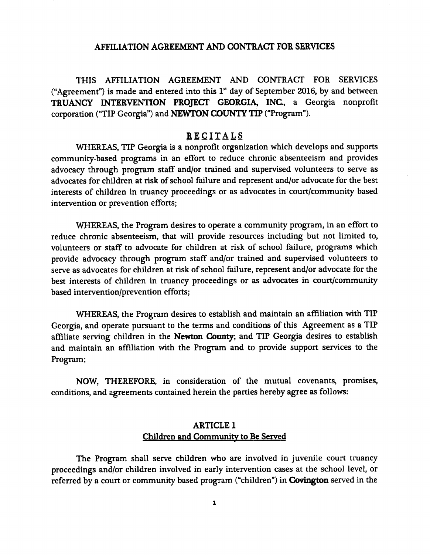#### AFFILIATION AGREEMENT AND CONTRACT FOR SERVICES

THIS AFFILIATION AGREEMENT AND CONTRACT FOR SERVICES ("Agreement") is made and entered into this  $1<sup>st</sup>$  day of September 2016, by and between TRUANCY INTERVENTION PROJECT GEORGIA, INC., <sup>a</sup> Georgia nonprofit corporation ("TIP Georgia") and NEWTON COUNTY TIP ("Program").

#### **RECITALS**

WHEREAS, TIP Georgia is a nonprofit organization which develops and supports community-based programs in an effort to reduce chronic absenteeism and provides advocacy through program staff and/or trained and supervised volunteers to serve as advocates for children at risk of school failure and represent and/or advocate for the best interests of children in truancy proceedings or as advocates in court/community based intervention or prevention efforts;

WHEREAS, the Program desires to operate a community program, in an effort to reduce chronic absenteeism, that will provide resources including but not limited to, volunteers or staff to advocate for children at risk of school failure, programs which provide advocacy through program staff and/or trained and supervised volunteers to serve as advocates for children at risk of school failure, represent and/or advocate for the best interests of children in truancy proceedings or as advocates in court/community based intervention/prevention efforts;

WHEREAS, the Program desires to establish and maintain an affiliation with TIP Georgia, and operate pursuant to the terms and conditions of this Agreement as <sup>a</sup> TIP affiliate serving children in the Newton County; and TIP Georgia desires to establish and maintain an affiliation with the Program and to provide support services to the Program;

NOW, THEREFORE, in consideration of the mutual covenants, promises, conditions, and agreements contained herein the parties hereby agree as follows:

### ARTICLE 1 Children and Community to Be Served

The Program shall serve children who are involved in juvenile court truancy proceedings and/or children involved in early intervention cases at the school level, or referred by a court or community based program ("children") in **Covington** served in the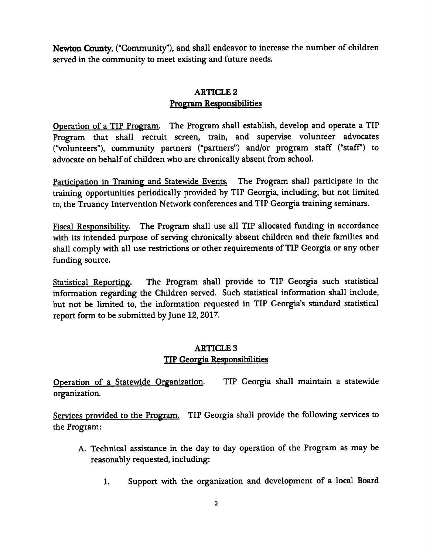Newton County, ("Community"), and shall endeavor to increase the number of children served in the community to meet existing and future needs.

# ARTICLE 2 Program Responsibilities

Operation of <sup>a</sup> TIP Program. The Program shall establish, develop and operate <sup>a</sup> TIP Program that shall recruit screen, train, and supervise volunteer advocates volunteers"), community partners (" partners") and/or program staff ("staff') to advocate on behalf of children who are chronically absent from school.

Participation in Training and Statewide Events. The Program shall participate in the training opportunities periodically provided by TIP Georgia, including, but not limited to, the Truancy Intervention Network conferences and TIP Georgia training seminars.

Fiscal Responsibility. The Program shall use all TIP allocated funding in accordance with its intended purpose of serving chronically absent children and their families and shall comply with all use restrictions or other requirements of TIP Georgia or any other funding source.

Statistical Reporting. The Program shall provide to TIP Georgia such statistical information regarding the Children served. Such statistical information shall include, but not be limited to, the information requested in TIP Georgia's standard statistical report form to be submitted by June 12, 2017.

## ARTICLE 3 TIP Georgia Responsibilities

Operation of <sup>a</sup> Statewide Organization. TIP Georgia shall maintain <sup>a</sup> statewide organization.

Services provided to the Program. TIP Georgia shall provide the following services to the Program:

- A. Technical assistance in the day to day operation of the Program as may be reasonably requested, including:
	- 1. Support with the organization and development of a local Board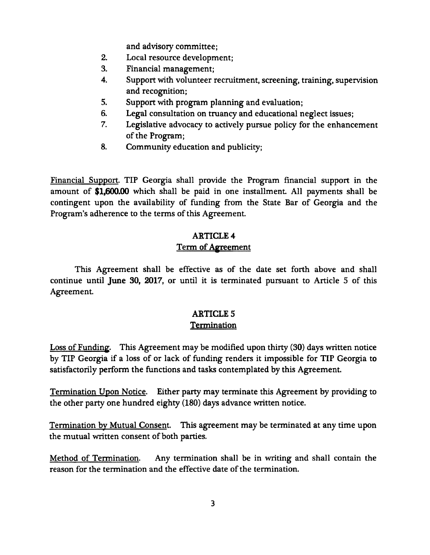and advisory committee;

- 2. Local resource development;
- 3. Financial management;
- 4. Support with volunteer recruitment, screening, training, supervision and recognition;
- 5. Support with program planning and evaluation;<br>6. Legal consultation on truancy and educational n
- 6. Legal consultation on truancy and educational neglect issues;<br>7. Legislative advocacy to actively pursue policy for the enhance
- Legislative advocacy to actively pursue policy for the enhancement of the Program;
- 8. Community education and publicity;

Financial Support. TIP Georgia shall provide the Program financial support in the amount of \$1,600.00 which shall be paid in one installment. All payments shall be contingent upon the availability of funding from the State Bar of Georgia and the Program's adherence to the terms of this Agreement.

# ARTICLE 4 Term of Agreement

This Agreement shall be effective as of the date set forth above and shall continue until June 30, 2017, or until it is terminated pursuant to Article <sup>5</sup> of this Agreement.

### ARTICLE 5 Termination

Loss of Funding. This Agreement may be modified upon thirty (30) days written notice by TIP Georgia if <sup>a</sup> loss of or lack of funding renders it impossible for TIP Georgia to satisfactorily perform the functions and tasks contemplated by this Agreement.

Termination Upon Notice. Either party may terminate this Agreement by providing to the other party one hundred eighty (180) days advance written notice.

Termination by Mutual Consent. This agreement may be terminated at any time upon the mutual written consent of both parties.

Method of Termination. Any termination shall be in writing and shall contain the reason for the termination and the effective date of the termination.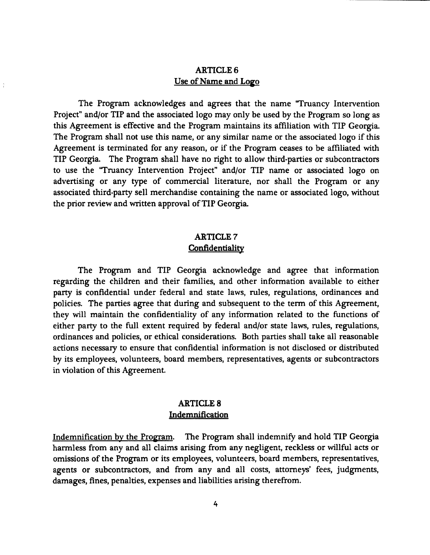### ARTICLE 6 Use of Name and Logo

The Program acknowledges and agrees that the name "Truancy Intervention Project" and/or TIP and the associated logo may only be used by the Program so long as this Agreement is effective and the Program maintains its affiliation with TIP Georgia. The Program shall not use this name, or any similar name or the associated logo if this Agreement is terminated for any reason, or if the Program ceases to be affiliated with TIP Georgia. The Program shall have no right to allow third-parties or subcontractors to use the "Truancy Intervention Project" and/or TIP name or associated logo on advertising or any type of commercial literature, nor shall the Program or any associated third-party sell merchandise containing the name or associated logo, without the prior review and written approval of TIP Georgia.

### ARTICLE 7 **Confidentiality**

The Program and TIP Georgia acknowledge and agree that information regarding the children and their families, and other information available to either party is confidential under federal and state laws, rules, regulations, ordinances and policies. The parties agree that during and subsequent to the term of this Agreement, they will maintain the confidentiality of any information related to the functions of either party to the full extent required by federal and/or state laws, rules, regulations, ordinances and policies, or ethical considerations. Both parties shall take all reasonable actions necessary to ensure that confidential information is not disclosed or distributed by its employees, volunteers, board members, representatives, agents or subcontractors in violation of this Agreement.

### ARTICLE 8 Indemnification

Indemnification by the Program. The Program shall indemnify and hold TIP Georgia harmless from any and all claims arising from any negligent, reckless or willful acts or omissions of the Program or its employees, volunteers, board members, representatives, agents or subcontractors, and from any and all costs, attorneys' fees, judgments, damages, fines, penalties, expenses and liabilities arising therefrom.